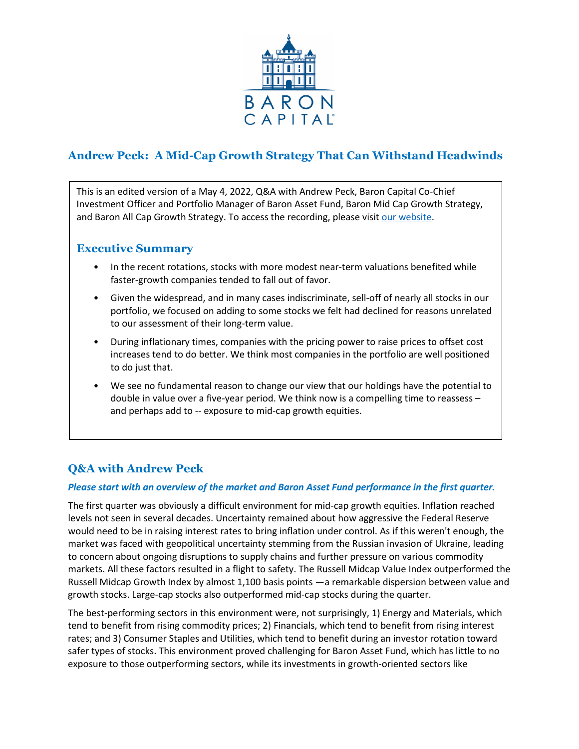

# **Andrew Peck: A Mid-Cap Growth Strategy That Can Withstand Headwinds**

This is an edited version of a May 4, 2022, Q&A with Andrew Peck, Baron Capital Co-Chief Investment Officer and Portfolio Manager of Baron Asset Fund, Baron Mid Cap Growth Strategy, and Baron All Cap Growth Strategy. To access the recording, please visi[t our website.](https://www.baronfunds.com/insights/conference-calls)

### **Executive Summary**

- In the recent rotations, stocks with more modest near-term valuations benefited while faster-growth companies tended to fall out of favor.
- Given the widespread, and in many cases indiscriminate, sell-off of nearly all stocks in our portfolio, we focused on adding to some stocks we felt had declined for reasons unrelated to our assessment of their long-term value.
- During inflationary times, companies with the pricing power to raise prices to offset cost increases tend to do better. We think most companies in the portfolio are well positioned to do just that.
- We see no fundamental reason to change our view that our holdings have the potential to double in value over a five-year period. We think now is a compelling time to reassess – and perhaps add to -- exposure to mid-cap growth equities.

## **Q&A with Andrew Peck**

### *Please start with an overview of the market and Baron Asset Fund performance in the first quarter.*

The first quarter was obviously a difficult environment for mid-cap growth equities. Inflation reached levels not seen in several decades. Uncertainty remained about how aggressive the Federal Reserve would need to be in raising interest rates to bring inflation under control. As if this weren't enough, the market was faced with geopolitical uncertainty stemming from the Russian invasion of Ukraine, leading to concern about ongoing disruptions to supply chains and further pressure on various commodity markets. All these factors resulted in a flight to safety. The Russell Midcap Value Index outperformed the Russell Midcap Growth Index by almost 1,100 basis points —a remarkable dispersion between value and growth stocks. Large-cap stocks also outperformed mid-cap stocks during the quarter.

The best-performing sectors in this environment were, not surprisingly, 1) Energy and Materials, which tend to benefit from rising commodity prices; 2) Financials, which tend to benefit from rising interest rates; and 3) Consumer Staples and Utilities, which tend to benefit during an investor rotation toward safer types of stocks. This environment proved challenging for Baron Asset Fund, which has little to no exposure to those outperforming sectors, while its investments in growth-oriented sectors like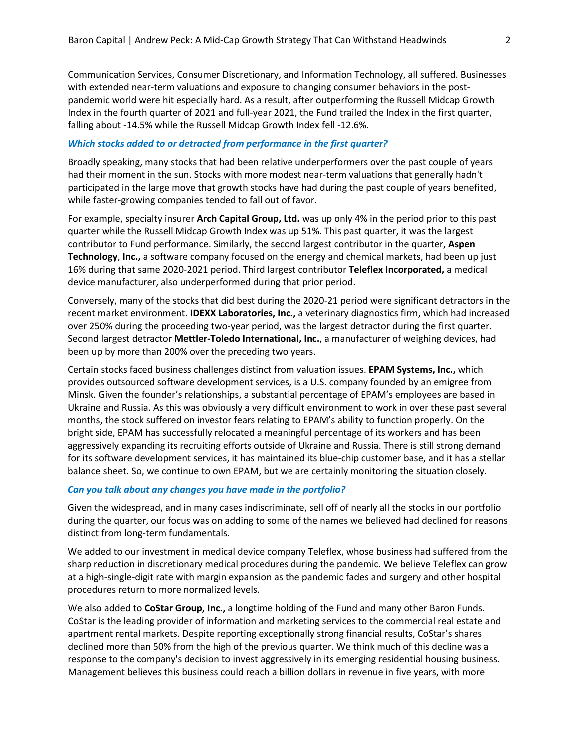Communication Services, Consumer Discretionary, and Information Technology, all suffered. Businesses with extended near-term valuations and exposure to changing consumer behaviors in the postpandemic world were hit especially hard. As a result, after outperforming the Russell Midcap Growth Index in the fourth quarter of 2021 and full-year 2021, the Fund trailed the Index in the first quarter, falling about -14.5% while the Russell Midcap Growth Index fell -12.6%.

#### *Which stocks added to or detracted from performance in the first quarter?*

Broadly speaking, many stocks that had been relative underperformers over the past couple of years had their moment in the sun. Stocks with more modest near-term valuations that generally hadn't participated in the large move that growth stocks have had during the past couple of years benefited, while faster-growing companies tended to fall out of favor.

For example, specialty insurer **Arch Capital Group, Ltd.** was up only 4% in the period prior to this past quarter while the Russell Midcap Growth Index was up 51%. This past quarter, it was the largest contributor to Fund performance. Similarly, the second largest contributor in the quarter, **Aspen Technology**, **Inc.,** a software company focused on the energy and chemical markets, had been up just 16% during that same 2020-2021 period. Third largest contributor **Teleflex Incorporated,** a medical device manufacturer, also underperformed during that prior period.

Conversely, many of the stocks that did best during the 2020-21 period were significant detractors in the recent market environment. **IDEXX Laboratories, Inc.,** a veterinary diagnostics firm, which had increased over 250% during the proceeding two-year period, was the largest detractor during the first quarter. Second largest detractor **Mettler-Toledo International, Inc.**, a manufacturer of weighing devices, had been up by more than 200% over the preceding two years.

Certain stocks faced business challenges distinct from valuation issues. **EPAM Systems, Inc.,** which provides outsourced software development services, is a U.S. company founded by an emigree from Minsk. Given the founder's relationships, a substantial percentage of EPAM's employees are based in Ukraine and Russia. As this was obviously a very difficult environment to work in over these past several months, the stock suffered on investor fears relating to EPAM's ability to function properly. On the bright side, EPAM has successfully relocated a meaningful percentage of its workers and has been aggressively expanding its recruiting efforts outside of Ukraine and Russia. There is still strong demand for its software development services, it has maintained its blue-chip customer base, and it has a stellar balance sheet. So, we continue to own EPAM, but we are certainly monitoring the situation closely.

#### *Can you talk about any changes you have made in the portfolio?*

Given the widespread, and in many cases indiscriminate, sell off of nearly all the stocks in our portfolio during the quarter, our focus was on adding to some of the names we believed had declined for reasons distinct from long-term fundamentals.

We added to our investment in medical device company Teleflex, whose business had suffered from the sharp reduction in discretionary medical procedures during the pandemic. We believe Teleflex can grow at a high-single-digit rate with margin expansion as the pandemic fades and surgery and other hospital procedures return to more normalized levels.

We also added to **CoStar Group, Inc.,** a longtime holding of the Fund and many other Baron Funds. CoStar is the leading provider of information and marketing services to the commercial real estate and apartment rental markets. Despite reporting exceptionally strong financial results, CoStar's shares declined more than 50% from the high of the previous quarter. We think much of this decline was a response to the company's decision to invest aggressively in its emerging residential housing business. Management believes this business could reach a billion dollars in revenue in five years, with more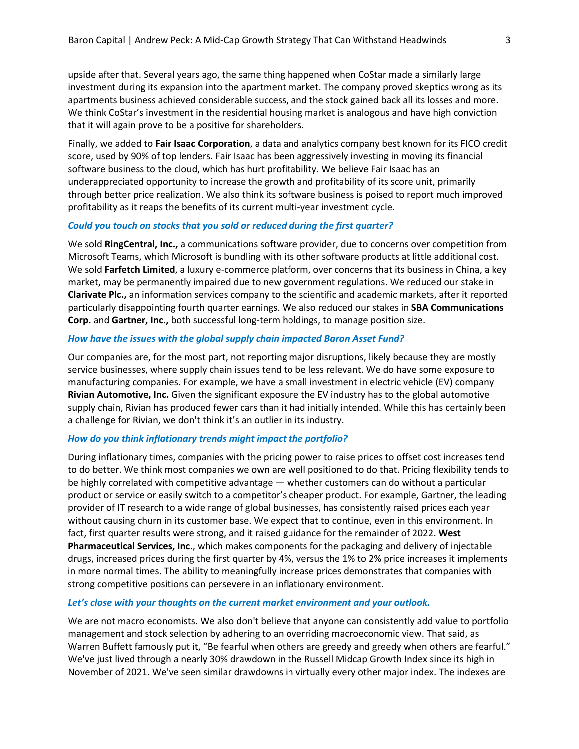upside after that. Several years ago, the same thing happened when CoStar made a similarly large investment during its expansion into the apartment market. The company proved skeptics wrong as its apartments business achieved considerable success, and the stock gained back all its losses and more. We think CoStar's investment in the residential housing market is analogous and have high conviction that it will again prove to be a positive for shareholders.

Finally, we added to **Fair Isaac Corporation**, a data and analytics company best known for its FICO credit score, used by 90% of top lenders. Fair Isaac has been aggressively investing in moving its financial software business to the cloud, which has hurt profitability. We believe Fair Isaac has an underappreciated opportunity to increase the growth and profitability of its score unit, primarily through better price realization. We also think its software business is poised to report much improved profitability as it reaps the benefits of its current multi-year investment cycle.

#### *Could you touch on stocks that you sold or reduced during the first quarter?*

We sold **RingCentral, Inc.,** a communications software provider, due to concerns over competition from Microsoft Teams, which Microsoft is bundling with its other software products at little additional cost. We sold **Farfetch Limited**, a luxury e-commerce platform, over concerns that its business in China, a key market, may be permanently impaired due to new government regulations. We reduced our stake in **Clarivate Plc.,** an information services company to the scientific and academic markets, after it reported particularly disappointing fourth quarter earnings. We also reduced our stakes in **SBA Communications Corp.** and **Gartner, Inc.,** both successful long-term holdings, to manage position size.

#### *How have the issues with the global supply chain impacted Baron Asset Fund?*

Our companies are, for the most part, not reporting major disruptions, likely because they are mostly service businesses, where supply chain issues tend to be less relevant. We do have some exposure to manufacturing companies. For example, we have a small investment in electric vehicle (EV) company **Rivian Automotive, Inc.** Given the significant exposure the EV industry has to the global automotive supply chain, Rivian has produced fewer cars than it had initially intended. While this has certainly been a challenge for Rivian, we don't think it's an outlier in its industry.

#### *How do you think inflationary trends might impact the portfolio?*

During inflationary times, companies with the pricing power to raise prices to offset cost increases tend to do better. We think most companies we own are well positioned to do that. Pricing flexibility tends to be highly correlated with competitive advantage — whether customers can do without a particular product or service or easily switch to a competitor's cheaper product. For example, Gartner, the leading provider of IT research to a wide range of global businesses, has consistently raised prices each year without causing churn in its customer base. We expect that to continue, even in this environment. In fact, first quarter results were strong, and it raised guidance for the remainder of 2022. **West Pharmaceutical Services, Inc**., which makes components for the packaging and delivery of injectable drugs, increased prices during the first quarter by 4%, versus the 1% to 2% price increases it implements in more normal times. The ability to meaningfully increase prices demonstrates that companies with strong competitive positions can persevere in an inflationary environment.

#### *Let's close with your thoughts on the current market environment and your outlook.*

We are not macro economists. We also don't believe that anyone can consistently add value to portfolio management and stock selection by adhering to an overriding macroeconomic view. That said, as Warren Buffett famously put it, "Be fearful when others are greedy and greedy when others are fearful." We've just lived through a nearly 30% drawdown in the Russell Midcap Growth Index since its high in November of 2021. We've seen similar drawdowns in virtually every other major index. The indexes are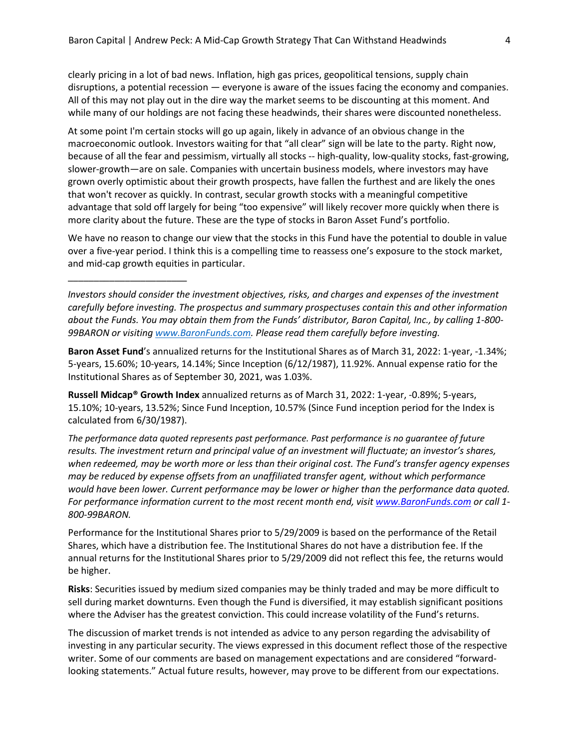clearly pricing in a lot of bad news. Inflation, high gas prices, geopolitical tensions, supply chain disruptions, a potential recession — everyone is aware of the issues facing the economy and companies. All of this may not play out in the dire way the market seems to be discounting at this moment. And while many of our holdings are not facing these headwinds, their shares were discounted nonetheless.

At some point I'm certain stocks will go up again, likely in advance of an obvious change in the macroeconomic outlook. Investors waiting for that "all clear" sign will be late to the party. Right now, because of all the fear and pessimism, virtually all stocks -- high-quality, low-quality stocks, fast-growing, slower-growth—are on sale. Companies with uncertain business models, where investors may have grown overly optimistic about their growth prospects, have fallen the furthest and are likely the ones that won't recover as quickly. In contrast, secular growth stocks with a meaningful competitive advantage that sold off largely for being "too expensive" will likely recover more quickly when there is more clarity about the future. These are the type of stocks in Baron Asset Fund's portfolio.

We have no reason to change our view that the stocks in this Fund have the potential to double in value over a five-year period. I think this is a compelling time to reassess one's exposure to the stock market, and mid-cap growth equities in particular.

\_\_\_\_\_\_\_\_\_\_\_\_\_\_\_\_\_\_\_\_\_\_\_

*Investors should consider the investment objectives, risks, and charges and expenses of the investment carefully before investing. The prospectus and summary prospectuses contain this and other information about the Funds. You may obtain them from the Funds' distributor, Baron Capital, Inc., by calling 1-800- 99BARON or visiting [www.BaronFunds.com.](http://www.baronfunds.com/) Please read them carefully before investing.*

**Baron Asset Fund**'s annualized returns for the Institutional Shares as of March 31, 2022: 1-year, -1.34%; 5-years, 15.60%; 10-years, 14.14%; Since Inception (6/12/1987), 11.92%. Annual expense ratio for the Institutional Shares as of September 30, 2021, was 1.03%.

**Russell Midcap® Growth Index** annualized returns as of March 31, 2022: 1-year, -0.89%; 5-years, 15.10%; 10-years, 13.52%; Since Fund Inception, 10.57% (Since Fund inception period for the Index is calculated from 6/30/1987).

*The performance data quoted represents past performance. Past performance is no guarantee of future results. The investment return and principal value of an investment will fluctuate; an investor's shares, when redeemed, may be worth more or less than their original cost. The Fund's transfer agency expenses may be reduced by expense offsets from an unaffiliated transfer agent, without which performance would have been lower. Current performance may be lower or higher than the performance data quoted. For performance information current to the most recent month end, visi[t www.BaronFunds.com](http://www.baronfunds.com/) or call 1- 800-99BARON.*

Performance for the Institutional Shares prior to 5/29/2009 is based on the performance of the Retail Shares, which have a distribution fee. The Institutional Shares do not have a distribution fee. If the annual returns for the Institutional Shares prior to 5/29/2009 did not reflect this fee, the returns would be higher.

**Risks**: Securities issued by medium sized companies may be thinly traded and may be more difficult to sell during market downturns. Even though the Fund is diversified, it may establish significant positions where the Adviser has the greatest conviction. This could increase volatility of the Fund's returns.

The discussion of market trends is not intended as advice to any person regarding the advisability of investing in any particular security. The views expressed in this document reflect those of the respective writer. Some of our comments are based on management expectations and are considered "forwardlooking statements." Actual future results, however, may prove to be different from our expectations.